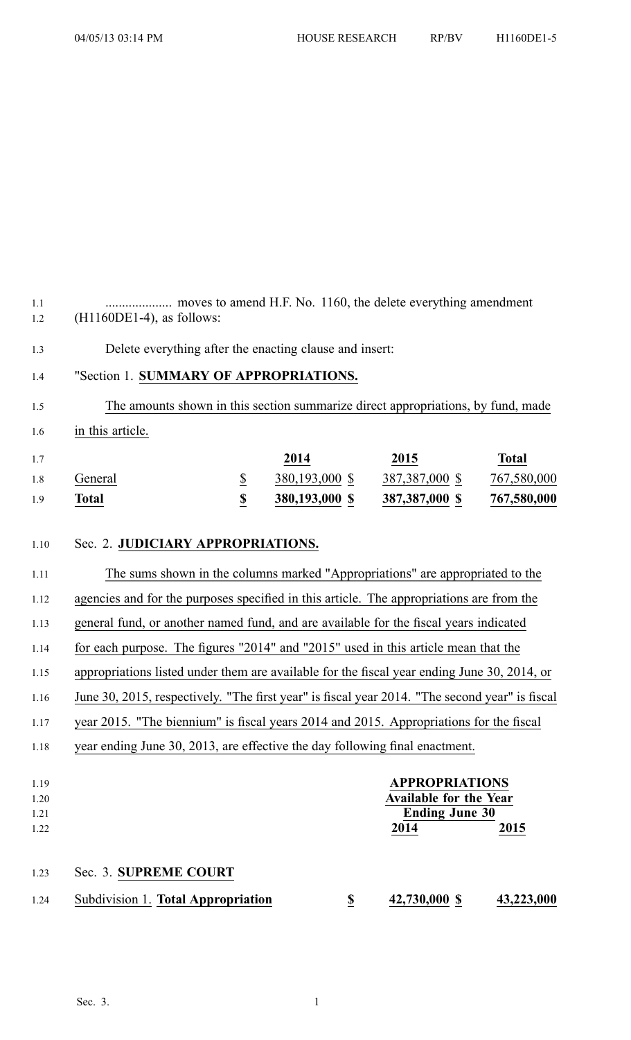| 1.2                          | $(H1160DE1-4)$ , as follows:                                                                   |             |                |    |                                                                                         |              |  |  |
|------------------------------|------------------------------------------------------------------------------------------------|-------------|----------------|----|-----------------------------------------------------------------------------------------|--------------|--|--|
| 1.3                          | Delete everything after the enacting clause and insert:                                        |             |                |    |                                                                                         |              |  |  |
| 1.4                          | "Section 1. SUMMARY OF APPROPRIATIONS.                                                         |             |                |    |                                                                                         |              |  |  |
| 1.5                          | The amounts shown in this section summarize direct appropriations, by fund, made               |             |                |    |                                                                                         |              |  |  |
| 1.6                          | in this article.                                                                               |             |                |    |                                                                                         |              |  |  |
| 1.7                          |                                                                                                |             | 2014           |    | 2015                                                                                    | <b>Total</b> |  |  |
| 1.8                          | General                                                                                        |             | 380,193,000 \$ |    | 387,387,000 \$                                                                          | 767,580,000  |  |  |
| 1.9                          | <b>Total</b>                                                                                   | $rac{S}{S}$ | 380,193,000 \$ |    | 387,387,000 \$                                                                          | 767,580,000  |  |  |
| 1.10                         | Sec. 2. JUDICIARY APPROPRIATIONS.                                                              |             |                |    |                                                                                         |              |  |  |
| 1.11                         | The sums shown in the columns marked "Appropriations" are appropriated to the                  |             |                |    |                                                                                         |              |  |  |
| 1.12                         | agencies and for the purposes specified in this article. The appropriations are from the       |             |                |    |                                                                                         |              |  |  |
| 1.13                         | general fund, or another named fund, and are available for the fiscal years indicated          |             |                |    |                                                                                         |              |  |  |
| 1.14                         | for each purpose. The figures "2014" and "2015" used in this article mean that the             |             |                |    |                                                                                         |              |  |  |
| 1.15                         | appropriations listed under them are available for the fiscal year ending June 30, 2014, or    |             |                |    |                                                                                         |              |  |  |
| 1.16                         | June 30, 2015, respectively. "The first year" is fiscal year 2014. "The second year" is fiscal |             |                |    |                                                                                         |              |  |  |
| 1.17                         | year 2015. "The biennium" is fiscal years 2014 and 2015. Appropriations for the fiscal         |             |                |    |                                                                                         |              |  |  |
| 1.18                         | year ending June 30, 2013, are effective the day following final enactment.                    |             |                |    |                                                                                         |              |  |  |
| 1.19<br>1.20<br>1.21<br>1.22 |                                                                                                |             |                |    | <b>APPROPRIATIONS</b><br><b>Available for the Year</b><br><b>Ending June 30</b><br>2014 | 2015         |  |  |
| 1.23                         | Sec. 3. SUPREME COURT                                                                          |             |                |    |                                                                                         |              |  |  |
| 1.24                         | Subdivision 1. Total Appropriation                                                             |             |                | \$ | 42,730,000 \$                                                                           | 43,223,000   |  |  |
|                              |                                                                                                |             |                |    |                                                                                         |              |  |  |

1.1 .................... moves to amend H.F. No. 1160, the delete everything amendment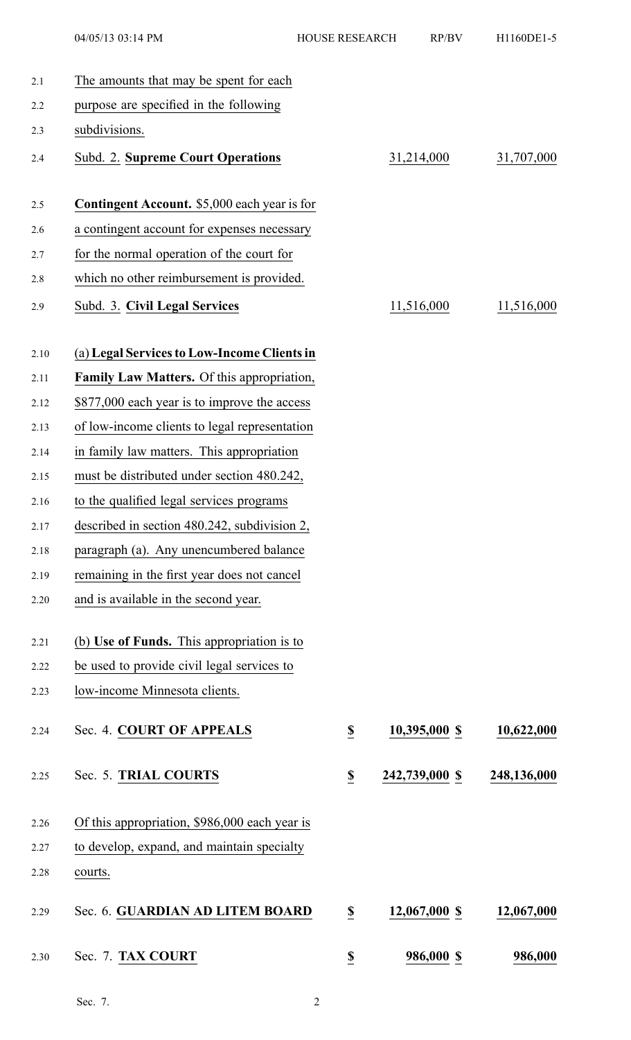| 2.1  | The amounts that may be spent for each              |                              |                |             |
|------|-----------------------------------------------------|------------------------------|----------------|-------------|
| 2.2  | purpose are specified in the following              |                              |                |             |
| 2.3  | subdivisions.                                       |                              |                |             |
| 2.4  | <b>Subd. 2. Supreme Court Operations</b>            |                              | 31,214,000     | 31,707,000  |
| 2.5  | <b>Contingent Account.</b> \$5,000 each year is for |                              |                |             |
| 2.6  | a contingent account for expenses necessary         |                              |                |             |
| 2.7  | for the normal operation of the court for           |                              |                |             |
| 2.8  | which no other reimbursement is provided.           |                              |                |             |
| 2.9  | Subd. 3. Civil Legal Services                       |                              | 11,516,000     | 11,516,000  |
| 2.10 | (a) Legal Services to Low-Income Clients in         |                              |                |             |
| 2.11 | Family Law Matters. Of this appropriation,          |                              |                |             |
| 2.12 | \$877,000 each year is to improve the access        |                              |                |             |
| 2.13 | of low-income clients to legal representation       |                              |                |             |
| 2.14 | in family law matters. This appropriation           |                              |                |             |
| 2.15 | must be distributed under section 480.242,          |                              |                |             |
| 2.16 | to the qualified legal services programs            |                              |                |             |
| 2.17 | described in section 480.242, subdivision 2         |                              |                |             |
| 2.18 | paragraph (a). Any unencumbered balance             |                              |                |             |
| 2.19 | remaining in the first year does not cancel         |                              |                |             |
| 2.20 | and is available in the second year.                |                              |                |             |
| 2.21 | (b) Use of Funds. This appropriation is to          |                              |                |             |
| 2.22 | be used to provide civil legal services to          |                              |                |             |
| 2.23 | low-income Minnesota clients.                       |                              |                |             |
| 2.24 | Sec. 4. COURT OF APPEALS                            | $\underline{\underline{\$}}$ | 10,395,000 \$  | 10,622,000  |
| 2.25 | Sec. 5. TRIAL COURTS                                | $\overline{\mathbf{S}}$      | 242,739,000 \$ | 248,136,000 |
| 2.26 | Of this appropriation, \$986,000 each year is       |                              |                |             |
| 2.27 | to develop, expand, and maintain specialty          |                              |                |             |
| 2.28 | courts.                                             |                              |                |             |
| 2.29 | Sec. 6. GUARDIAN AD LITEM BOARD                     | $\underline{\underline{\$}}$ | 12,067,000 \$  | 12,067,000  |
| 2.30 | Sec. 7. TAX COURT                                   | $\underline{\underline{\$}}$ | 986,000 \$     | 986,000     |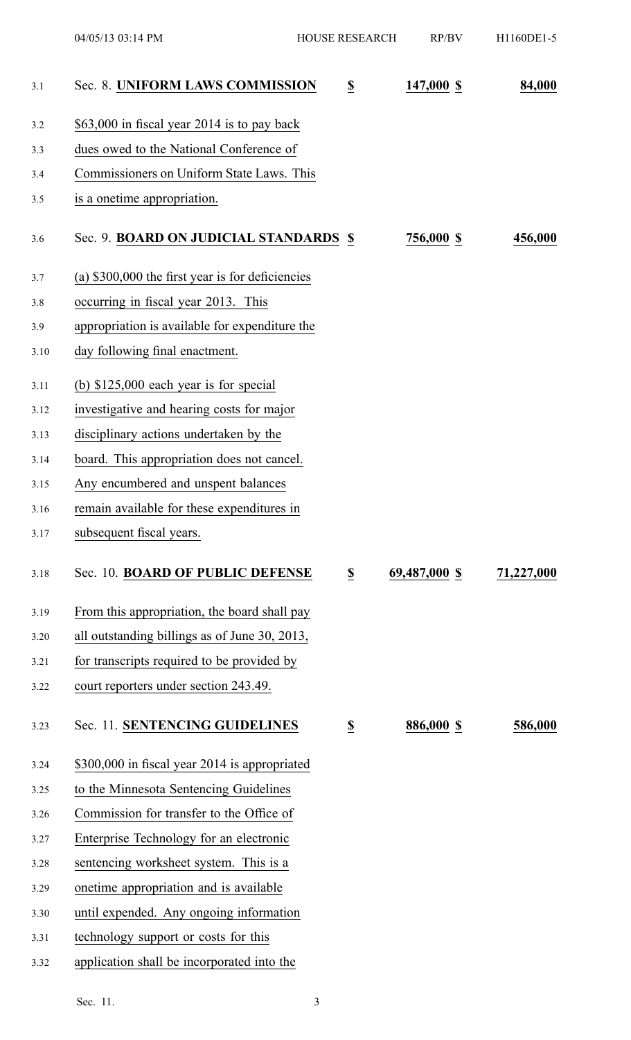| 3.1  | Sec. 8. UNIFORM LAWS COMMISSION                   | $\underline{\$}$             | 147,000 \$    | 84,000     |
|------|---------------------------------------------------|------------------------------|---------------|------------|
| 3.2  | \$63,000 in fiscal year 2014 is to pay back       |                              |               |            |
| 3.3  | dues owed to the National Conference of           |                              |               |            |
| 3.4  | Commissioners on Uniform State Laws. This         |                              |               |            |
| 3.5  | is a onetime appropriation.                       |                              |               |            |
| 3.6  | Sec. 9. BOARD ON JUDICIAL STANDARDS \$            |                              | 756,000 \$    | 456,000    |
| 3.7  | (a) $$300,000$ the first year is for deficiencies |                              |               |            |
| 3.8  | occurring in fiscal year 2013. This               |                              |               |            |
| 3.9  | appropriation is available for expenditure the    |                              |               |            |
| 3.10 | day following final enactment.                    |                              |               |            |
| 3.11 | (b) $$125,000$ each year is for special           |                              |               |            |
| 3.12 | investigative and hearing costs for major         |                              |               |            |
| 3.13 | disciplinary actions undertaken by the            |                              |               |            |
| 3.14 | board. This appropriation does not cancel.        |                              |               |            |
| 3.15 | Any encumbered and unspent balances               |                              |               |            |
| 3.16 | remain available for these expenditures in        |                              |               |            |
| 3.17 | subsequent fiscal years.                          |                              |               |            |
| 3.18 | Sec. 10. BOARD OF PUBLIC DEFENSE                  | $\underline{\underline{\$}}$ | 69,487,000 \$ | 71,227,000 |
| 3.19 | From this appropriation, the board shall pay      |                              |               |            |
| 3.20 | all outstanding billings as of June 30, 2013,     |                              |               |            |
| 3.21 | for transcripts required to be provided by        |                              |               |            |
| 3.22 | court reporters under section 243.49.             |                              |               |            |
| 3.23 | Sec. 11. SENTENCING GUIDELINES                    | $\overline{\mathbf{z}}$      | 886,000 \$    | 586,000    |
| 3.24 | \$300,000 in fiscal year 2014 is appropriated     |                              |               |            |
| 3.25 | to the Minnesota Sentencing Guidelines            |                              |               |            |
| 3.26 | Commission for transfer to the Office of          |                              |               |            |
| 3.27 | Enterprise Technology for an electronic           |                              |               |            |
| 3.28 | sentencing worksheet system. This is a            |                              |               |            |
| 3.29 | onetime appropriation and is available            |                              |               |            |
| 3.30 | until expended. Any ongoing information           |                              |               |            |
| 3.31 | technology support or costs for this              |                              |               |            |
| 3.32 | application shall be incorporated into the        |                              |               |            |
|      |                                                   |                              |               |            |